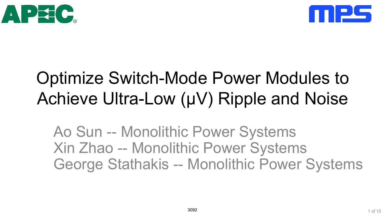



## Optimize Switch-Mode Power Modules to Achieve Ultra-Low (μV) Ripple and Noise

Ao Sun -- Monolithic Power Systems Xin Zhao -- Monolithic Power Systems George Stathakis -- Monolithic Power Systems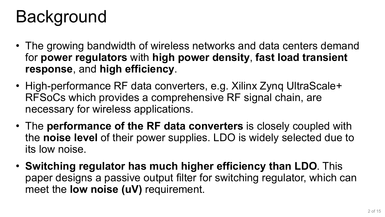## Background

- The growing bandwidth of wireless networks and data centers demand for **power regulators** with **high power density**, **fast load transient response**, and **high efficiency**.
- High-performance RF data converters, e.g. Xilinx Zynq UltraScale+ RFSoCs which provides a comprehensive RF signal chain, are necessary for wireless applications.
- The **performance of the RF data converters** is closely coupled with the **noise level** of their power supplies. LDO is widely selected due to its low noise.
- **Switching regulator has much higher efficiency than LDO**. This paper designs a passive output filter for switching regulator, which can meet the **low noise (uV)** requirement.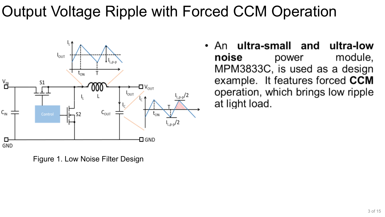### Output Voltage Ripple with Forced CCM Operation



Figure 1. Low Noise Filter Design

An **ultra-small** and ultra-low noise module. power MPM3833C, is used as a design example. It features forced CCM operation, which brings low ripple at light load.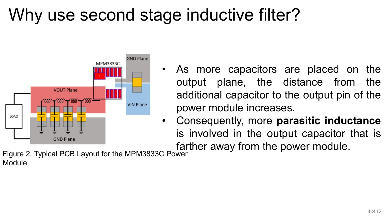## Why use second stage inductive filter?



- As more capacitors are placed on the output plane, the distance from the additional capacitor to the output pin of the power module increases.
- Consequently, more **parasitic inductance**  is involved in the output capacitor that is farther away from the power module.

Figure 2. Typical PCB Layout for the MPM3833C Power Module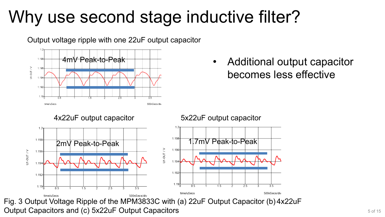## Why use second stage inductive filter?

Output voltage ripple with one 22uF output capacitor



• Additional output capacitor becomes less effective

4x22uF output capacitor 5x22uF output capacitor

 $\frac{1}{5}$ 

 $\frac{1}{2.5}$ 

 $12$ 

1.198

1.196

1 1 9 4

1.192

 $1.19<sub>0</sub>$ 

time/uSecs

V / LDO-k



Fig. 3 Output Voltage Ripple of the MPM3833C with (a) 22uF Output Capacitor (b) 4x22uF Output Capacitors and (c) 5x22uF Output Capacitors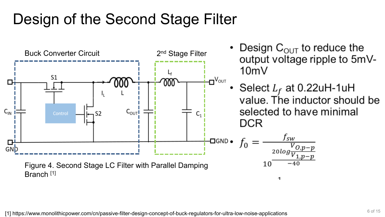### Design of the Second Stage Filter



[1] https://www.monolithicpower.com/cn/passive-filter-design-concept-of-buck-regulators-for-ultra-low-noise-applications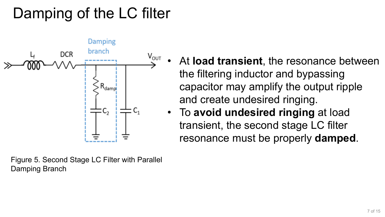### Damping of the LC filter



Figure 5. Second Stage LC Filter with Parallel Damping Branch

- At **load transient**, the resonance between the filtering inductor and bypassing capacitor may amplify the output ripple and create undesired ringing.
- To **avoid undesired ringing** at load transient, the second stage LC filter resonance must be properly **damped**.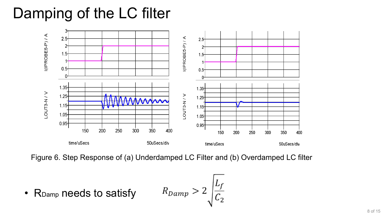### Damping of the LC filter



Figure 6. Step Response of (a) Underdamped LC Filter and (b) Overdamped LC filter

 $R_{Damp} > 2 \sqrt{\frac{L_f}{C_2}}$ • RDamp needs to satisfy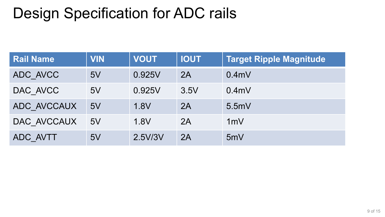### Design Specification for ADC rails

| <b>Rail Name</b> | <b>VIN</b> | <b>VOUT</b> | <b>IOUT</b> | <b>Target Ripple Magnitude</b> |
|------------------|------------|-------------|-------------|--------------------------------|
| ADC AVCC         | 5V         | 0.925V      | 2A          | 0.4 <sub>m</sub>               |
| DAC AVCC         | 5V         | 0.925V      | 3.5V        | 0.4 <sub>m</sub>               |
| ADC AVCCAUX      | 5V         | 1.8V        | 2A          | 5.5mV                          |
| DAC AVCCAUX      | 5V         | 1.8V        | 2A          | 1mV                            |
| ADC AVTT         | 5V         | 2.5V/3V     | 2A          | 5mV                            |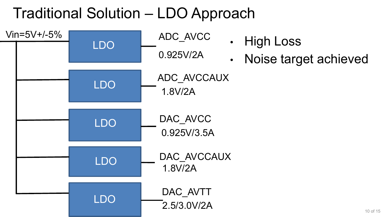### Traditional Solution – LDO Approach

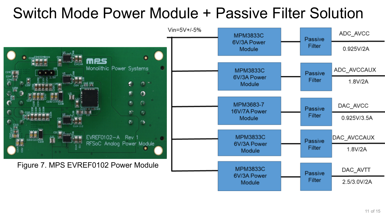#### Switch Mode Power Module + Passive Filter Solution

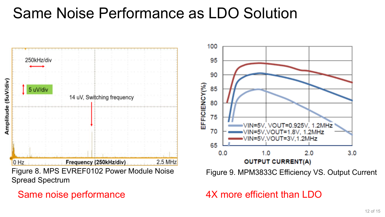#### Same Noise Performance as LDO Solution



#### Same noise performance



Figure 9. MPM3833C Efficiency VS. Output Current

#### 4X more efficient than LDO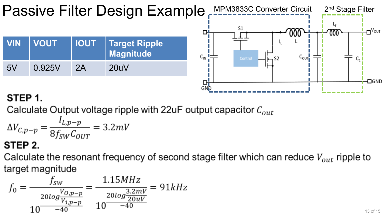

#### STEP 1.

Calculate Output voltage ripple with 22uF output capacitor  $C_{out}$ 

$$
\Delta V_{C,p-p} = \frac{I_{L,p-p}}{8f_{SW}C_{OUT}} = 3.2 mV
$$

#### STEP 2.

Calculate the resonant frequency of second stage filter which can reduce  $V_{out}$  ripple to target magnitude

$$
f_0 = \frac{f_{sw}}{\frac{20log\frac{V_{O,p-p}}{V_{1,p-p}}}{10}} = \frac{1.15MHz}{\frac{20log\frac{3.2mV}{20uV}}{10^{-40}}} = 91kHz
$$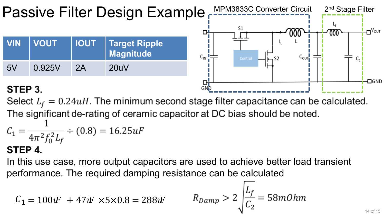

#### STEP 3.

Select  $L_f = 0.24uH$ . The minimum second stage filter capacitance can be calculated. The significant de-rating of ceramic capacitor at DC bias should be noted.  $C_1 = \frac{1}{4\pi^2 f_0^2 L_f}$  ÷ (0.8) = 16.25*uF* 

#### **STEP 4.**

In this use case, more output capacitors are used to achieve better load transient performance. The required damping resistance can be calculated

$$
C_1 = 100 \text{ }F + 47 \text{ }F \times 5 \times 0.8 = 288 \text{ }F
$$
  $R_{pamp} > 2 \sqrt{\frac{L_f}{C_2}} = 58 \text{ }m\text{ }0 \text{ }hm$